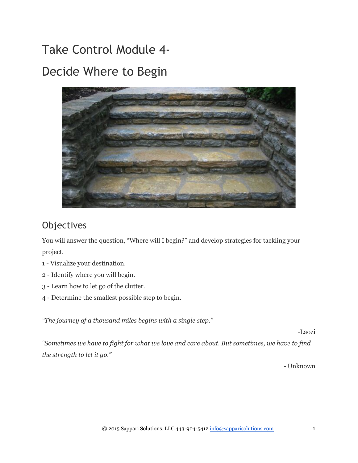Take Control Module 4‐ Decide Where to Begin



# Objectives

You will answer the question, "Where will I begin?" and develop strategies for tackling your project.

- 1 Visualize your destination.
- 2 Identify where you will begin.
- 3 Learn how to let go of the clutter.
- 4 Determine the smallest possible step to begin.

*"The journey of a thousand miles begins with a single step."*

Laozi

*"Sometimes we have to fight for what we love and care about. But sometimes, we have to find the strength to let it go."*

Unknown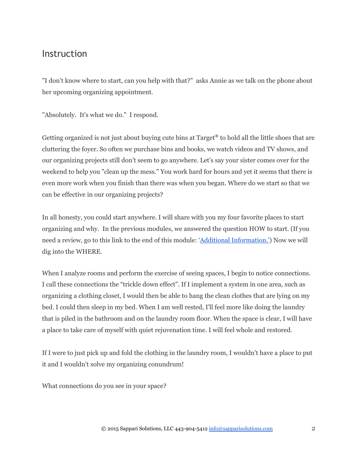# Instruction

"I don't know where to start, can you help with that?" asks Annie as we talk on the phone about her upcoming organizing appointment.

"Absolutely. It's what we do." I respond.

Getting organized is not just about buying cute bins at Target**®** to hold all the little shoes that are cluttering the foyer. So often we purchase bins and books, we watch videos and TV shows, and our organizing projects still don't seem to go anywhere. Let's say your sister comes over for the weekend to help you "clean up the mess." You work hard for hours and yet it seems that there is even more work when you finish than there was when you began. Where do we start so that we can be effective in our organizing projects?

In all honesty, you could start anywhere. I will share with you my four favorite places to start organizing and why. In the previous modules, we answered the question HOW to start. (If you need a review, go to this link to the end of this module: 'Additional [Information.'\)](#page-10-0) Now we will dig into the WHERE.

When I analyze rooms and perform the exercise of seeing spaces, I begin to notice connections. I call these connections the "trickle down effect". If I implement a system in one area, such as organizing a clothing closet, I would then be able to hang the clean clothes that are lying on my bed. I could then sleep in my bed. When I am well rested, I'll feel more like doing the laundry that is piled in the bathroom and on the laundry room floor. When the space is clear, I will have a place to take care of myself with quiet rejuvenation time. I will feel whole and restored.

If I were to just pick up and fold the clothing in the laundry room, I wouldn't have a place to put it and I wouldn't solve my organizing conundrum!

What connections do you see in your space?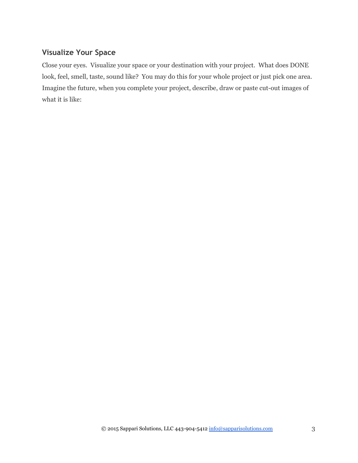# **Visualize Your Space**

Close your eyes. Visualize your space or your destination with your project. What does DONE look, feel, smell, taste, sound like? You may do this for your whole project or just pick one area. Imagine the future, when you complete your project, describe, draw or paste cut-out images of what it is like: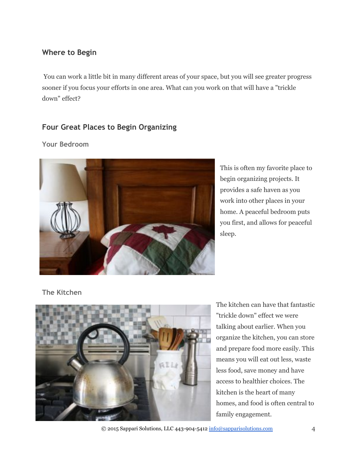# **Where to Begin**

 You can work a little bit in many different areas of your space, but you will see greater progress sooner if you focus your efforts in one area. What can you work on that will have a "trickle down" effect?

# **Four Great Places to Begin Organizing**

#### **Your Bedroom**



This is often my favorite place to begin organizing projects. It provides a safe haven as you work into other places in your home. A peaceful bedroom puts you first, and allows for peaceful sleep.

**The Kitchen**



The kitchen can have that fantastic "trickle down" effect we were talking about earlier. When you organize the kitchen, you can store and prepare food more easily. This means you will eat out less, waste less food, save money and have access to healthier choices. The kitchen is the heart of many homes, and food is often central to family engagement.

© 2015 Sappari Solutions, LLC 443-904-5412  $\frac{info@sapparisolutions.com}{info@sapparisolutions.com}$  4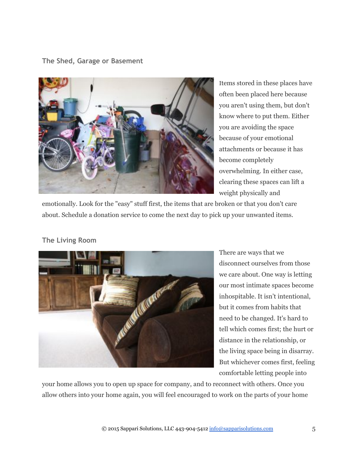#### **The Shed, Garage or Basement**



Items stored in these places have often been placed here because you aren't using them, but don't know where to put them. Either you are avoiding the space because of your emotional attachments or because it has become completely overwhelming. In either case, clearing these spaces can lift a weight physically and

emotionally. Look for the "easy" stuff first, the items that are broken or that you don't care about. Schedule a donation service to come the next day to pick up your unwanted items.

### **The Living Room**



There are ways that we disconnect ourselves from those we care about. One way is letting our most intimate spaces become inhospitable. It isn't intentional, but it comes from habits that need to be changed. It's hard to tell which comes first; the hurt or distance in the relationship, or the living space being in disarray. But whichever comes first, feeling comfortable letting people into

your home allows you to open up space for company, and to reconnect with others. Once you allow others into your home again, you will feel encouraged to work on the parts of your home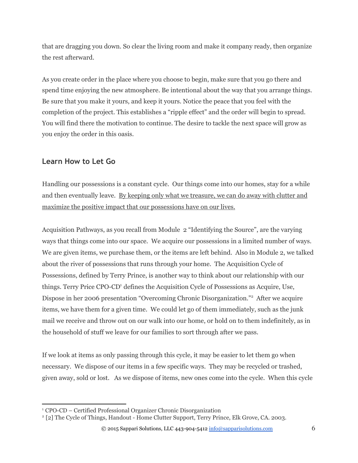that are dragging you down. So clear the living room and make it company ready, then organize the rest afterward.

As you create order in the place where you choose to begin, make sure that you go there and spend time enjoying the new atmosphere. Be intentional about the way that you arrange things. Be sure that you make it yours, and keep it yours. Notice the peace that you feel with the completion of the project. This establishes a "ripple effect" and the order will begin to spread. You will find there the motivation to continue. The desire to tackle the next space will grow as you enjoy the order in this oasis.

## **Learn How to Let Go**

Handling our possessions is a constant cycle. Our things come into our homes, stay for a while and then eventually leave. By keeping only what we treasure, we can do away with clutter and maximize the positive impact that our possessions have on our lives.

Acquisition Pathways, as you recall from Module 2 "Identifying the Source", are the varying ways that things come into our space. We acquire our possessions in a limited number of ways. We are given items, we purchase them, or the items are left behind. Also in Module 2, we talked about the river of possessions that runs through your home. The Acquisition Cycle of Possessions, defined by Terry Prince, is another way to think about our relationship with our things. Terry Price CPO-CD<sup>1</sup> defines the Acquisition Cycle of Possessions as Acquire, Use, Dispose in her 2006 presentation "Overcoming Chronic Disorganization."<sup>2</sup> After we acquire items, we have them for a given time. We could let go of them immediately, such as the junk mail we receive and throw out on our walk into our home, or hold on to them indefinitely, as in the household of stuff we leave for our families to sort through after we pass.

If we look at items as only passing through this cycle, it may be easier to let them go when necessary. We dispose of our items in a few specific ways. They may be recycled or trashed, given away, sold or lost. As we dispose of items, new ones come into the cycle. When this cycle

<sup>&</sup>lt;sup>1</sup> CPO-CD – Certified Professional Organizer Chronic Disorganization

<sup>&</sup>lt;sup>2</sup> [2] The Cycle of Things, Handout - Home Clutter Support, Terry Prince, Elk Grove, CA. 2003.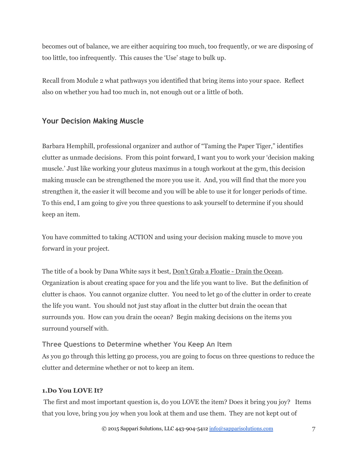becomes out of balance, we are either acquiring too much, too frequently, or we are disposing of too little, too infrequently. This causes the 'Use' stage to bulk up.

Recall from Module 2 what pathways you identified that bring items into your space. Reflect also on whether you had too much in, not enough out or a little of both.

# **Your Decision Making Muscle**

Barbara Hemphill, professional organizer and author of "Taming the Paper Tiger," identifies clutter as unmade decisions. From this point forward, I want you to work your 'decision making muscle.' Just like working your gluteus maximus in a tough workout at the gym, this decision making muscle can be strengthened the more you use it. And, you will find that the more you strengthen it, the easier it will become and you will be able to use it for longer periods of time. To this end, I am going to give you three questions to ask yourself to determine if you should keep an item.

You have committed to taking ACTION and using your decision making muscle to move you forward in your project.

The title of a book by Dana White says it best, Don't Grab a Floatie - Drain the Ocean. Organization is about creating space for you and the life you want to live. But the definition of clutter is chaos. You cannot organize clutter. You need to let go of the clutter in order to create the life you want. You should not just stay afloat in the clutter but drain the ocean that surrounds you. How can you drain the ocean? Begin making decisions on the items you surround yourself with.

**Three Questions to Determine whether You Keep An Item** As you go through this letting go process, you are going to focus on three questions to reduce the clutter and determine whether or not to keep an item.

#### **1.Do You LOVE It?**

 The first and most important question is, do you LOVE the item? Does it bring you joy? Items that you love, bring you joy when you look at them and use them. They are not kept out of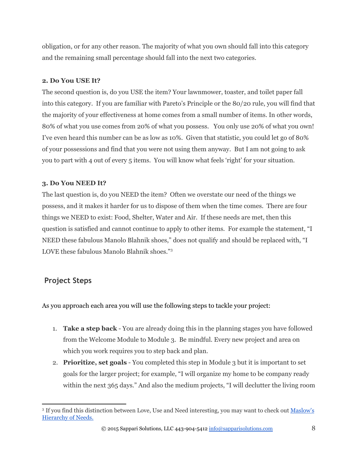obligation, or for any other reason. The majority of what you own should fall into this category and the remaining small percentage should fall into the next two categories.

#### **2. Do You USE It?**

The second question is, do you USE the item? Your lawnmower, toaster, and toilet paper fall into this category. If you are familiar with Pareto's Principle or the 80/20 rule, you will find that the majority of your effectiveness at home comes from a small number of items. In other words, 80% of what you use comes from 20% of what you possess. You only use 20% of what you own! I've even heard this number can be as low as 10%. Given that statistic, you could let go of 80% of your possessions and find that you were not using them anyway. But I am not going to ask you to part with 4 out of every 5 items. You will know what feels 'right' for your situation.

### **3. Do You NEED It?**

The last question is, do you NEED the item? Often we overstate our need of the things we possess, and it makes it harder for us to dispose of them when the time comes. There are four things we NEED to exist: Food, Shelter, Water and Air. If these needs are met, then this question is satisfied and cannot continue to apply to other items. For example the statement, "I NEED these fabulous Manolo Blahnik shoes," does not qualify and should be replaced with, "I LOVE these fabulous Manolo Blahnik shoes."<sup>3</sup>

# **Project Steps**

As you approach each area you will use the following steps to tackle your project:

- 1. **Take a step back** You are already doing this in the planning stages you have followed from the Welcome Module to Module 3. Be mindful. Every new project and area on which you work requires you to step back and plan.
- 2. **Prioritize, set goals** You completed this step in Module 3 but it is important to set goals for the larger project; for example, "I will organize my home to be company ready within the next 365 days." And also the medium projects, "I will declutter the living room

<sup>&</sup>lt;sup>3</sup> If you find this distinction between Love, Use and Need interesting, you may want to check out <u>[Maslow's](http://en.wikipedia.org/wiki/Maslow%27s_hierarchy_of_needs)</u> [Hierarchy of Needs.](http://en.wikipedia.org/wiki/Maslow%27s_hierarchy_of_needs)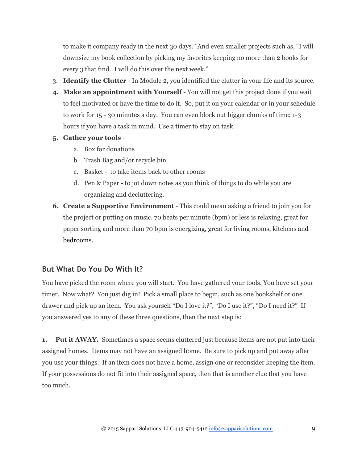to make it company ready in the next 30 days." And even smaller projects such as, "I will downsize my book collection by picking my favorites keeping no more than 2 books for every 3 that find. I will do this over the next week."

- 3. **Identify the Clutter** In Module 2, you identified the clutter in your life and its source.
- 4. Make an appointment with Yourself You will not get this project done if you wait to feel motivated or have the time to do it. So, put it on your calendar or in your schedule to work for 15 - 30 minutes a day. You can even block out bigger chunks of time; 1-3 hours if you have a task in mind. Use a timer to stay on task.
- **5. Gather your tools**
	- a. Box for donations
	- b. Trash Bag and/or recycle bin
	- c. Basket to take items back to other rooms
	- d. Pen & Paper to jot down notes as you think of things to do while you are organizing and decluttering.
- **6. Create a Supportive Environment** This could mean asking a friend to join you for the project or putting on music. 70 beats per minute (bpm) or less is relaxing, great for paper sorting and more than 70 bpm is energizing, great for living rooms, kitchens and bedrooms.

### **But What Do You Do With It?**

You have picked the room where you will start. You have gathered your tools. You have set your timer. Now what? You just dig in! Pick a small place to begin, such as one bookshelf or one drawer and pick up an item. You ask yourself "Do I love it?", "Do I use it?", "Do I need it?" If you answered yes to any of these three questions, then the next step is:

**1.** Put it AWAY. Sometimes a space seems cluttered just because items are not put into their assigned homes. Items may not have an assigned home. Be sure to pick up and put away after you use your things. If an item does not have a home, assign one or reconsider keeping the item. If your possessions do not fit into their assigned space, then that is another clue that you have too much.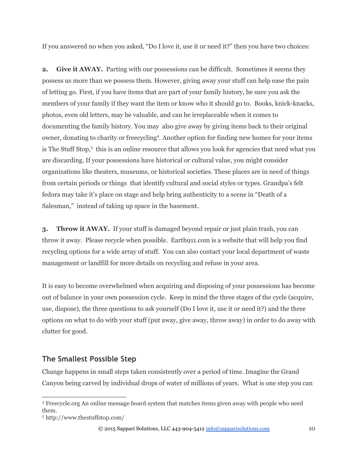If you answered no when you asked, "Do I love it, use it or need it?" then you have two choices:

**2.** Give it AWAY. Parting with our possessions can be difficult. Sometimes it seems they possess us more than we possess them. However, giving away your stuff can help ease the pain of letting go. First, if you have items that are part of your family history, be sure you ask the members of your family if they want the item or know who it should go to. Books, knick-knacks, photos, even old letters, may be valuable, and can be irreplaceable when it comes to documenting the family history. You may also give away by giving items back to their original owner, donating to charity or freecycling<sup>4</sup>. Another option for finding new homes for your items is The Stuff Stop, $\frac{1}{2}$  this is an online resource that allows you look for agencies that need what you are discarding. If your possessions have historical or cultural value, you might consider organizations like theaters, museums, or historical societies. These places are in need of things from certain periods or things that identify cultural and social styles or types. Grandpa's felt fedora may take it's place on stage and help bring authenticity to a scene in "Death of a Salesman," instead of taking up space in the basement.

**3. Throw it AWAY.** If your stuff is damaged beyond repair or just plain trash, you can throw it away. Please recycle when possible. Earth911.com is a website that will help you find recycling options for a wide array of stuff. You can also contact your local department of waste management or landfill for more details on recycling and refuse in your area.

It is easy to become overwhelmed when acquiring and disposing of your possessions has become out of balance in your own possession cycle. Keep in mind the three stages of the cycle (acquire, use, dispose), the three questions to ask yourself (Do I love it, use it or need it?) and the three options on what to do with your stuff (put away, give away, throw away) in order to do away with clutter for good.

# **The Smallest Possible Step**

Change happens in small steps taken consistently over a period of time. Imagine the Grand Canyon being carved by individual drops of water of millions of years. What is one step you can

<sup>4</sup> Freecycle.org An online message board system that matches items given away with people who need them.

<sup>5</sup> http://www.thestuffstop.com/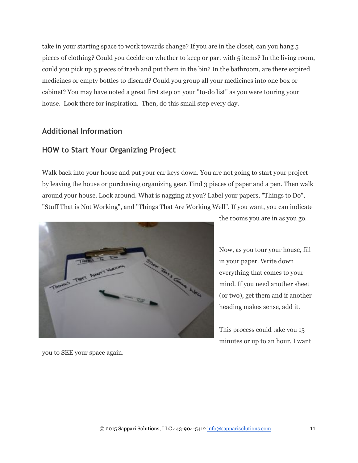take in your starting space to work towards change? If you are in the closet, can you hang 5 pieces of clothing? Could you decide on whether to keep or part with 5 items? In the living room, could you pick up 5 pieces of trash and put them in the bin? In the bathroom, are there expired medicines or empty bottles to discard? Could you group all your medicines into one box or cabinet? You may have noted a great first step on your "to-do list" as you were touring your house. Look there for inspiration. Then, do this small step every day.

### **Additional Information**

## <span id="page-10-0"></span>**HOW to Start Your Organizing Project**

Walk back into your house and put your car keys down. You are not going to start your project by leaving the house or purchasing organizing gear. Find 3 pieces of paper and a pen. Then walk around your house. Look around. What is nagging at you? Label your papers, "Things to Do", "Stuff That is Not Working", and "Things That Are Working Well". If you want, you can indicate



the rooms you are in as you go.

Now, as you tour your house, fill in your paper. Write down everything that comes to your mind. If you need another sheet (or two), get them and if another heading makes sense, add it.

This process could take you 15 minutes or up to an hour. I want

you to SEE your space again.